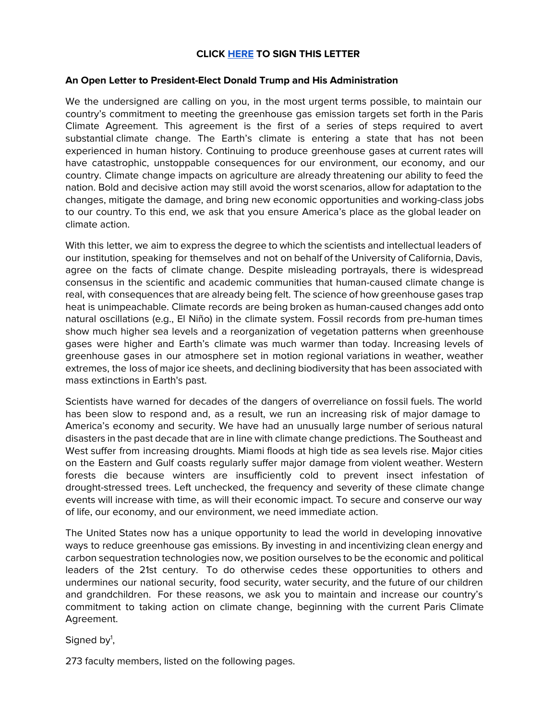# **CLICK [HERE](https://docs.google.com/forms/d/e/1FAIpQLSeciqy1tP-WuYq1Bovu43AV3Hni4M14AQnZEBDzIX7CDEP3Ig/viewform) TO SIGN THIS LETTER**

## **An Open Letter to President-Elect Donald Trump and His Administration**

We the undersigned are calling on you, in the most urgent terms possible, to maintain our country's commitment to meeting the greenhouse gas emission targets set forth in the Paris Climate Agreement. This agreement is the first of a series of steps required to avert substantial climate change. The Earth's climate is entering a state that has not been experienced in human history. Continuing to produce greenhouse gases at current rates will have catastrophic, unstoppable consequences for our environment, our economy, and our country. Climate change impacts on agriculture are already threatening our ability to feed the nation. Bold and decisive action may still avoid the worst scenarios, allow for adaptation to the changes, mitigate the damage, and bring new economic opportunities and working-class jobs to our country. To this end, we ask that you ensure America's place as the global leader on climate action.

With this letter, we aim to express the degree to which the scientists and intellectual leaders of our institution, speaking for themselves and not on behalf of the University of California, Davis, agree on the facts of climate change. Despite misleading portrayals, there is widespread consensus in the scientific and academic communities that human-caused climate change is real, with consequences that are already being felt. The science of how greenhouse gases trap heat is unimpeachable. Climate records are being broken as human-caused changes add onto natural oscillations (e.g., El Niño) in the climate system. Fossil records from pre-human times show much higher sea levels and a reorganization of vegetation patterns when greenhouse gases were higher and Earth's climate was much warmer than today. Increasing levels of greenhouse gases in our atmosphere set in motion regional variations in weather, weather extremes, the loss of major ice sheets, and declining biodiversity that has been associated with mass extinctions in Earth's past.

Scientists have warned for decades of the dangers of overreliance on fossil fuels. The world has been slow to respond and, as a result, we run an increasing risk of major damage to America's economy and security. We have had an unusually large number of serious natural disasters in the past decade that are in line with climate change predictions. The Southeast and West suffer from increasing droughts. Miami floods at high tide as sea levels rise. Major cities on the Eastern and Gulf coasts regularly suffer major damage from violent weather. Western forests die because winters are insufficiently cold to prevent insect infestation of drought-stressed trees. Left unchecked, the frequency and severity of these climate change events will increase with time, as will their economic impact. To secure and conserve our way of life, our economy, and our environment, we need immediate action.

The United States now has a unique opportunity to lead the world in developing innovative ways to reduce greenhouse gas emissions. By investing in and incentivizing clean energy and carbon sequestration technologies now, we position ourselves to be the economic and political leaders of the 21st century. To do otherwise cedes these opportunities to others and undermines our national security, food security, water security, and the future of our children and grandchildren. For these reasons, we ask you to maintain and increase our country's commitment to taking action on climate change, beginning with the current Paris Climate Agreement.

Signed by<sup>1</sup>,

273 faculty members, listed on the following pages.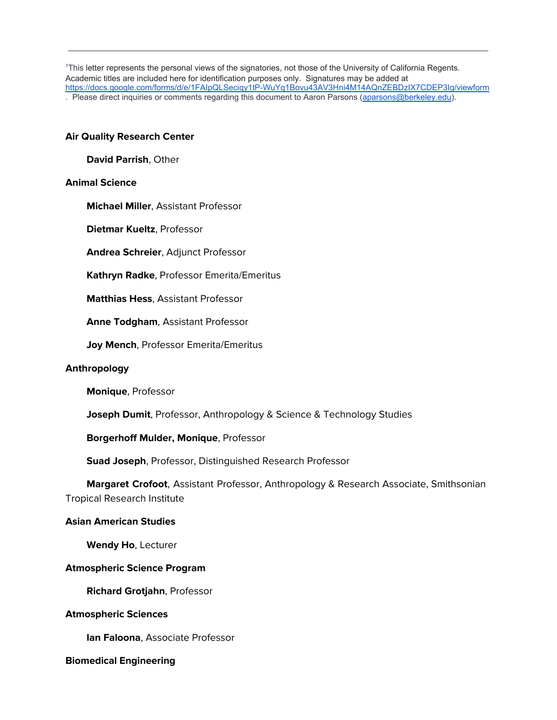<sup>1</sup>This letter represents the personal views of the signatories, not those of the University of California Regents. Academic titles are included here for identification purposes only. Signatures may be added at <https://docs.google.com/forms/d/e/1FAIpQLSeciqy1tP-WuYq1Bovu43AV3Hni4M14AQnZEBDzIX7CDEP3Ig/viewform> . Please direct inquiries or comments regarding this document to Aaron Parsons [\(aparsons@berkeley.edu\)](mailto:aparsons@berkeley.edu).

#### **Air Quality Research Center**

**David Parrish**, Other

#### **Animal Science**

**Michael Miller**, Assistant Professor

**Dietmar Kueltz**, Professor

**Andrea Schreier**, Adjunct Professor

**Kathryn Radke**, Professor Emerita/Emeritus

**Matthias Hess**, Assistant Professor

**Anne Todgham**, Assistant Professor

**Joy Mench**, Professor Emerita/Emeritus

#### **Anthropology**

**Monique**, Professor

**Joseph Dumit**, Professor, Anthropology & Science & Technology Studies

**Borgerhoff Mulder, Monique**, Professor

**Suad Joseph**, Professor, Distinguished Research Professor

 **Margaret Crofoot**, Assistant Professor, Anthropology & Research Associate, Smithsonian Tropical Research Institute

#### **Asian American Studies**

**Wendy Ho**, Lecturer

#### **Atmospheric Science Program**

**Richard Grotjahn**, Professor

#### **Atmospheric Sciences**

**Ian Faloona**, Associate Professor

#### **Biomedical Engineering**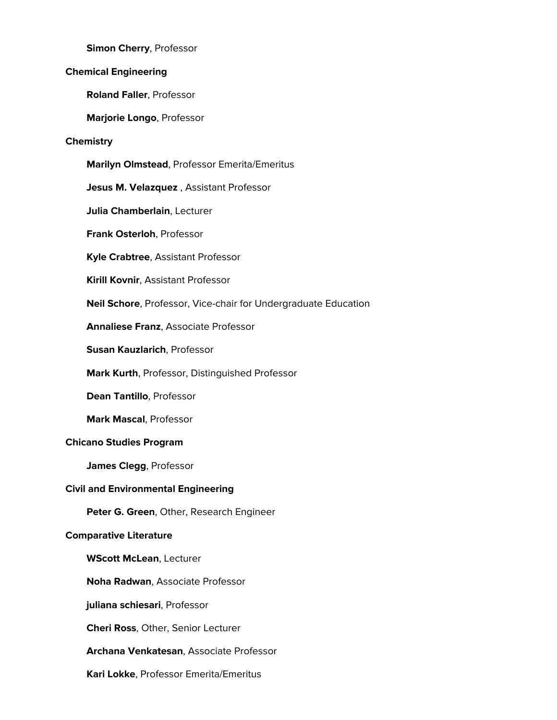**Simon Cherry**, Professor

# **Chemical Engineering**

**Roland Faller**, Professor

**Marjorie Longo**, Professor

## **Chemistry**

**Marilyn Olmstead**, Professor Emerita/Emeritus

**Jesus M. Velazquez** , Assistant Professor

**Julia Chamberlain**, Lecturer

**Frank Osterloh**, Professor

**Kyle Crabtree**, Assistant Professor

**Kirill Kovnir**, Assistant Professor

**Neil Schore**, Professor, Vice-chair for Undergraduate Education

**Annaliese Franz**, Associate Professor

**Susan Kauzlarich**, Professor

**Mark Kurth**, Professor, Distinguished Professor

**Dean Tantillo**, Professor

**Mark Mascal**, Professor

## **Chicano Studies Program**

**James Clegg**, Professor

## **Civil and Environmental Engineering**

**Peter G. Green**, Other, Research Engineer

## **Comparative Literature**

**WScott McLean**, Lecturer

**Noha Radwan**, Associate Professor

**juliana schiesari**, Professor

**Cheri Ross**, Other, Senior Lecturer

**Archana Venkatesan**, Associate Professor

**Kari Lokke**, Professor Emerita/Emeritus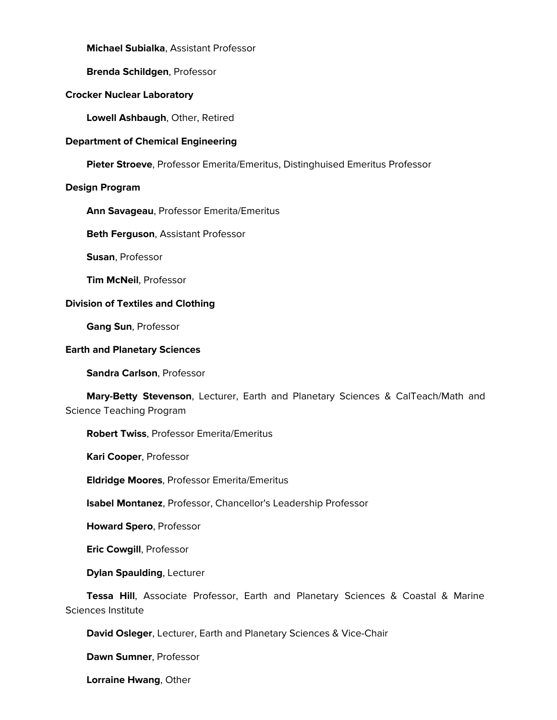**Michael Subialka**, Assistant Professor

**Brenda Schildgen**, Professor

## **Crocker Nuclear Laboratory**

**Lowell Ashbaugh**, Other, Retired

#### **Department of Chemical Engineering**

**Pieter Stroeve**, Professor Emerita/Emeritus, Distinghuised Emeritus Professor

#### **Design Program**

**Ann Savageau**, Professor Emerita/Emeritus

**Beth Ferguson**, Assistant Professor

**Susan**, Professor

**Tim McNeil**, Professor

#### **Division of Textiles and Clothing**

**Gang Sun**, Professor

#### **Earth and Planetary Sciences**

**Sandra Carlson**, Professor

 **Mary-Betty Stevenson**, Lecturer, Earth and Planetary Sciences & CalTeach/Math and Science Teaching Program

## **Robert Twiss**, Professor Emerita/Emeritus

**Kari Cooper**, Professor

**Eldridge Moores**, Professor Emerita/Emeritus

**Isabel Montanez**, Professor, Chancellor's Leadership Professor

**Howard Spero**, Professor

**Eric Cowgill**, Professor

**Dylan Spaulding**, Lecturer

 **Tessa Hill**, Associate Professor, Earth and Planetary Sciences & Coastal & Marine Sciences Institute

**David Osleger**, Lecturer, Earth and Planetary Sciences & Vice-Chair

**Dawn Sumner**, Professor

**Lorraine Hwang**, Other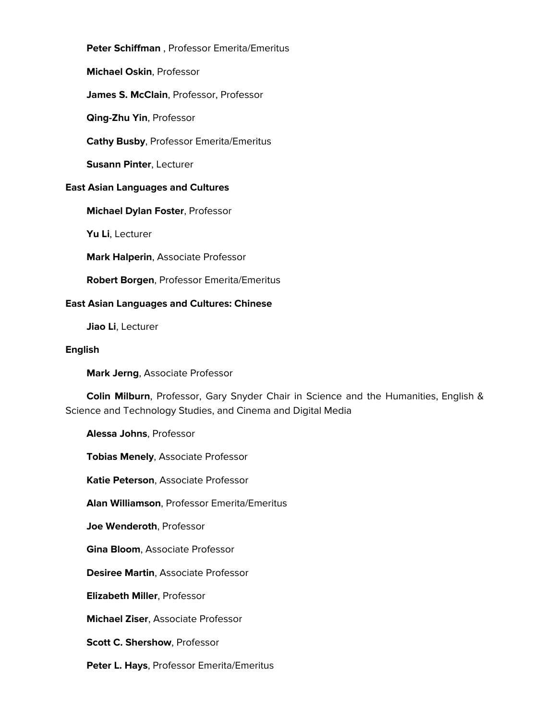**Peter Schiffman** , Professor Emerita/Emeritus **Michael Oskin**, Professor **James S. McClain**, Professor, Professor **Qing-Zhu Yin**, Professor **Cathy Busby**, Professor Emerita/Emeritus **Susann Pinter**, Lecturer **East Asian Languages and Cultures Michael Dylan Foster**, Professor

**Yu Li**, Lecturer

**Mark Halperin**, Associate Professor

**Robert Borgen**, Professor Emerita/Emeritus

#### **East Asian Languages and Cultures: Chinese**

**Jiao Li**, Lecturer

#### **English**

**Mark Jerng**, Associate Professor

 **Colin Milburn**, Professor, Gary Snyder Chair in Science and the Humanities, English & Science and Technology Studies, and Cinema and Digital Media

**Alessa Johns**, Professor

**Tobias Menely**, Associate Professor

**Katie Peterson**, Associate Professor

**Alan Williamson**, Professor Emerita/Emeritus

**Joe Wenderoth**, Professor

**Gina Bloom**, Associate Professor

**Desiree Martin**, Associate Professor

**Elizabeth Miller**, Professor

**Michael Ziser**, Associate Professor

**Scott C. Shershow**, Professor

**Peter L. Hays**, Professor Emerita/Emeritus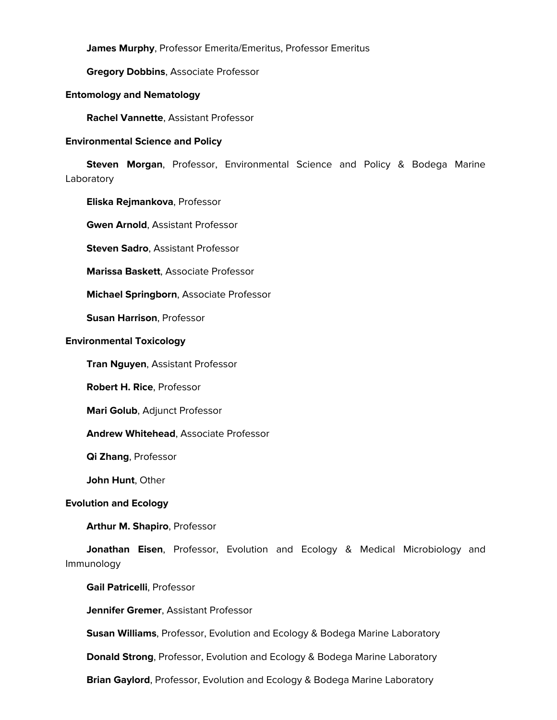**James Murphy**, Professor Emerita/Emeritus, Professor Emeritus

**Gregory Dobbins**, Associate Professor

#### **Entomology and Nematology**

**Rachel Vannette**, Assistant Professor

#### **Environmental Science and Policy**

 **Steven Morgan**, Professor, Environmental Science and Policy & Bodega Marine Laboratory

**Eliska Rejmankova**, Professor

**Gwen Arnold**, Assistant Professor

**Steven Sadro**, Assistant Professor

**Marissa Baskett**, Associate Professor

**Michael Springborn**, Associate Professor

**Susan Harrison**, Professor

#### **Environmental Toxicology**

**Tran Nguyen**, Assistant Professor

**Robert H. Rice**, Professor

**Mari Golub**, Adjunct Professor

**Andrew Whitehead**, Associate Professor

**Qi Zhang**, Professor

**John Hunt**, Other

## **Evolution and Ecology**

**Arthur M. Shapiro**, Professor

 **Jonathan Eisen**, Professor, Evolution and Ecology & Medical Microbiology and Immunology

**Gail Patricelli**, Professor

**Jennifer Gremer**, Assistant Professor

**Susan Williams**, Professor, Evolution and Ecology & Bodega Marine Laboratory

**Donald Strong**, Professor, Evolution and Ecology & Bodega Marine Laboratory

**Brian Gaylord**, Professor, Evolution and Ecology & Bodega Marine Laboratory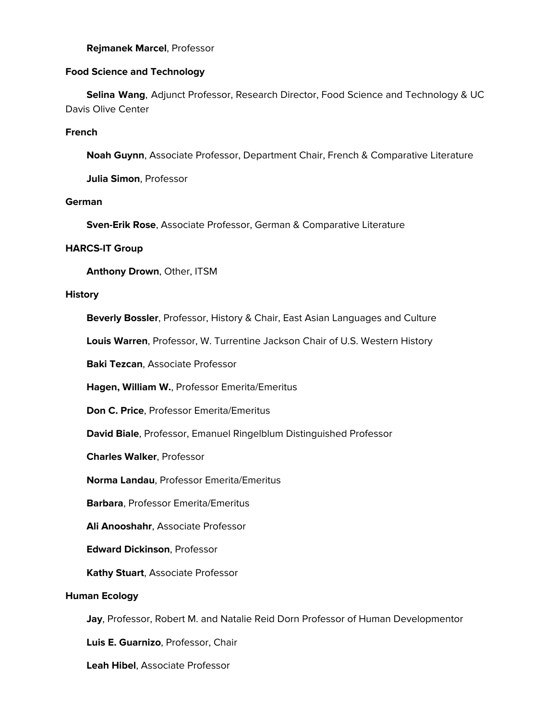## **Rejmanek Marcel**, Professor

# **Food Science and Technology**

 **Selina Wang**, Adjunct Professor, Research Director, Food Science and Technology & UC Davis Olive Center

# **French**

**Noah Guynn**, Associate Professor, Department Chair, French & Comparative Literature

**Julia Simon**, Professor

## **German**

**Sven-Erik Rose**, Associate Professor, German & Comparative Literature

## **HARCS-IT Group**

**Anthony Drown**, Other, ITSM

## **History**

**Beverly Bossler**, Professor, History & Chair, East Asian Languages and Culture

**Louis Warren**, Professor, W. Turrentine Jackson Chair of U.S. Western History

**Baki Tezcan**, Associate Professor

**Hagen, William W.**, Professor Emerita/Emeritus

**Don C. Price**, Professor Emerita/Emeritus

**David Biale**, Professor, Emanuel Ringelblum Distinguished Professor

**Charles Walker**, Professor

**Norma Landau**, Professor Emerita/Emeritus

**Barbara**, Professor Emerita/Emeritus

**Ali Anooshahr**, Associate Professor

**Edward Dickinson**, Professor

**Kathy Stuart**, Associate Professor

# **Human Ecology**

**Jay**, Professor, Robert M. and Natalie Reid Dorn Professor of Human Developmentor

**Luis E. Guarnizo**, Professor, Chair

**Leah Hibel**, Associate Professor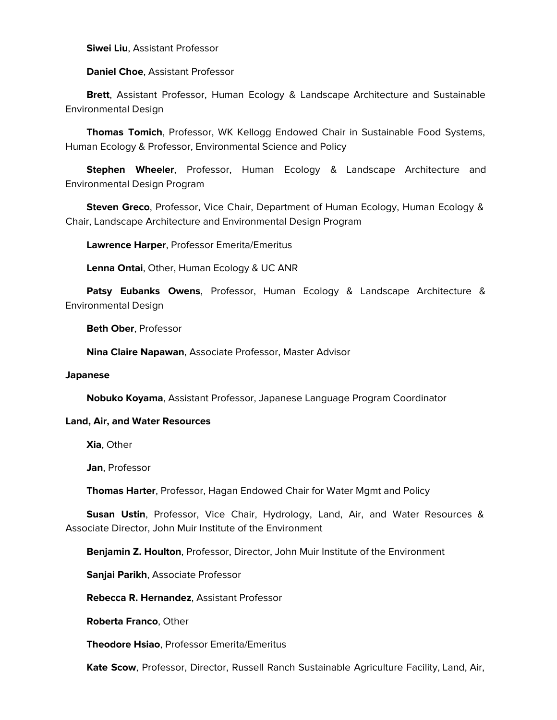**Siwei Liu**, Assistant Professor

**Daniel Choe**, Assistant Professor

 **Brett**, Assistant Professor, Human Ecology & Landscape Architecture and Sustainable Environmental Design

 **Thomas Tomich**, Professor, WK Kellogg Endowed Chair in Sustainable Food Systems, Human Ecology & Professor, Environmental Science and Policy

 **Stephen Wheeler**, Professor, Human Ecology & Landscape Architecture and Environmental Design Program

 **Steven Greco**, Professor, Vice Chair, Department of Human Ecology, Human Ecology & Chair, Landscape Architecture and Environmental Design Program

**Lawrence Harper**, Professor Emerita/Emeritus

**Lenna Ontai**, Other, Human Ecology & UC ANR

 **Patsy Eubanks Owens**, Professor, Human Ecology & Landscape Architecture & Environmental Design

**Beth Ober**, Professor

**Nina Claire Napawan**, Associate Professor, Master Advisor

## **Japanese**

**Nobuko Koyama**, Assistant Professor, Japanese Language Program Coordinator

## **Land, Air, and Water Resources**

**Xia**, Other

**Jan**, Professor

**Thomas Harter**, Professor, Hagan Endowed Chair for Water Mgmt and Policy

 **Susan Ustin**, Professor, Vice Chair, Hydrology, Land, Air, and Water Resources & Associate Director, John Muir Institute of the Environment

**Benjamin Z. Houlton**, Professor, Director, John Muir Institute of the Environment

**Sanjai Parikh**, Associate Professor

**Rebecca R. Hernandez**, Assistant Professor

**Roberta Franco**, Other

**Theodore Hsiao**, Professor Emerita/Emeritus

**Kate Scow**, Professor, Director, Russell Ranch Sustainable Agriculture Facility, Land, Air,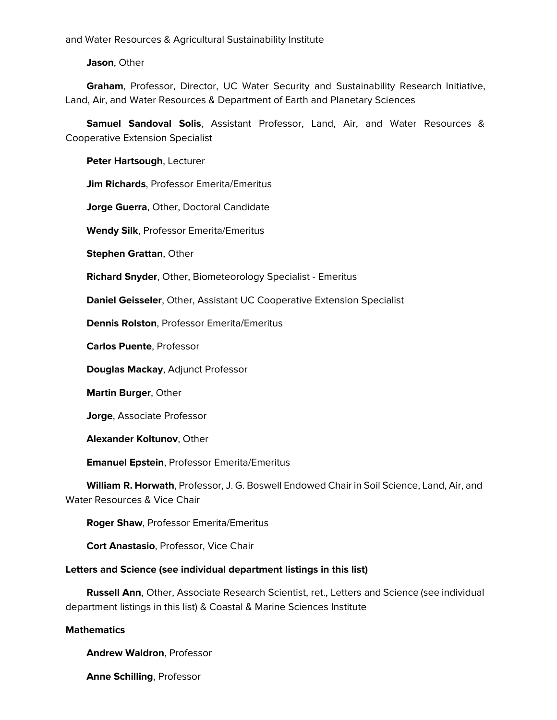and Water Resources & Agricultural Sustainability Institute

**Jason**, Other

 **Graham**, Professor, Director, UC Water Security and Sustainability Research Initiative, Land, Air, and Water Resources & Department of Earth and Planetary Sciences

 **Samuel Sandoval Solis**, Assistant Professor, Land, Air, and Water Resources & Cooperative Extension Specialist

**Peter Hartsough**, Lecturer

**Jim Richards**, Professor Emerita/Emeritus

**Jorge Guerra**, Other, Doctoral Candidate

**Wendy Silk**, Professor Emerita/Emeritus

**Stephen Grattan**, Other

**Richard Snyder**, Other, Biometeorology Specialist - Emeritus

**Daniel Geisseler**, Other, Assistant UC Cooperative Extension Specialist

**Dennis Rolston**, Professor Emerita/Emeritus

**Carlos Puente**, Professor

**Douglas Mackay**, Adjunct Professor

**Martin Burger**, Other

**Jorge**, Associate Professor

**Alexander Koltunov**, Other

**Emanuel Epstein**, Professor Emerita/Emeritus

 **William R. Horwath**, Professor, J. G. Boswell Endowed Chair in Soil Science, Land, Air, and Water Resources & Vice Chair

**Roger Shaw**, Professor Emerita/Emeritus

**Cort Anastasio**, Professor, Vice Chair

# **Letters and Science (see individual department listings in this list)**

 **Russell Ann**, Other, Associate Research Scientist, ret., Letters and Science (see individual department listings in this list) & Coastal & Marine Sciences Institute

## **Mathematics**

**Andrew Waldron**, Professor

**Anne Schilling**, Professor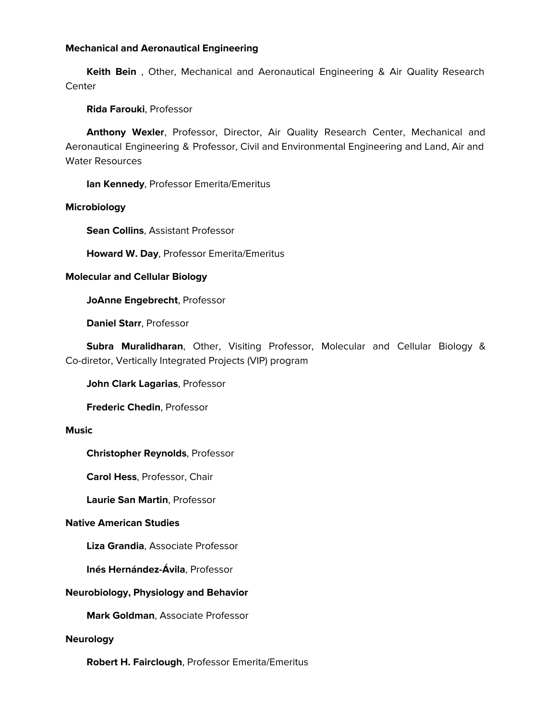## **Mechanical and Aeronautical Engineering**

 **Keith Bein** , Other, Mechanical and Aeronautical Engineering & Air Quality Research **Center** 

# **Rida Farouki**, Professor

 **Anthony Wexler**, Professor, Director, Air Quality Research Center, Mechanical and Aeronautical Engineering & Professor, Civil and Environmental Engineering and Land, Air and Water Resources

**Ian Kennedy**, Professor Emerita/Emeritus

# **Microbiology**

**Sean Collins**, Assistant Professor

**Howard W. Day**, Professor Emerita/Emeritus

# **Molecular and Cellular Biology**

**JoAnne Engebrecht**, Professor

**Daniel Starr**, Professor

 **Subra Muralidharan**, Other, Visiting Professor, Molecular and Cellular Biology & Co-diretor, Vertically Integrated Projects (VIP) program

**John Clark Lagarias**, Professor

**Frederic Chedin**, Professor

## **Music**

**Christopher Reynolds**, Professor

**Carol Hess**, Professor, Chair

**Laurie San Martin**, Professor

# **Native American Studies**

**Liza Grandia**, Associate Professor

**Inés Hernández-Ávila**, Professor

# **Neurobiology, Physiology and Behavior**

**Mark Goldman**, Associate Professor

## **Neurology**

**Robert H. Fairclough**, Professor Emerita/Emeritus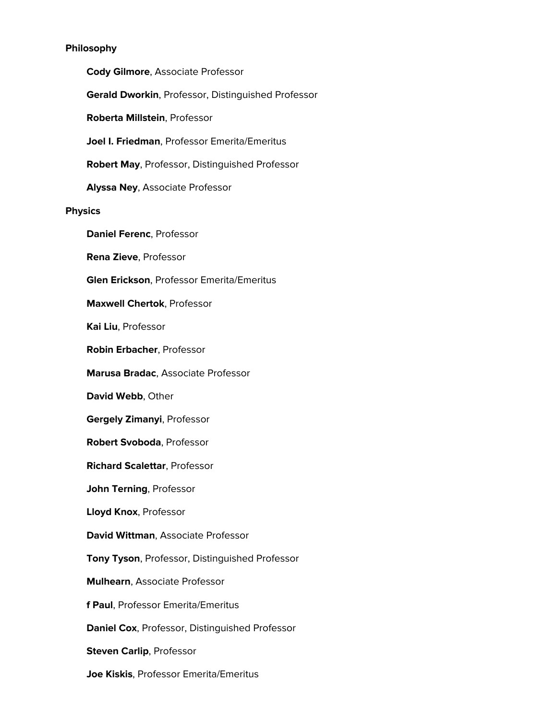## **Philosophy**

 **Cody Gilmore**, Associate Professor **Gerald Dworkin**, Professor, Distinguished Professor **Roberta Millstein**, Professor **Joel I. Friedman**, Professor Emerita/Emeritus **Robert May**, Professor, Distinguished Professor **Alyssa Ney**, Associate Professor **Physics Daniel Ferenc**, Professor **Rena Zieve**, Professor **Glen Erickson**, Professor Emerita/Emeritus **Maxwell Chertok**, Professor **Kai Liu**, Professor **Robin Erbacher**, Professor **Marusa Bradac**, Associate Professor **David Webb**, Other **Gergely Zimanyi**, Professor **Robert Svoboda**, Professor **Richard Scalettar**, Professor **John Terning**, Professor **Lloyd Knox**, Professor **David Wittman**, Associate Professor **Tony Tyson**, Professor, Distinguished Professor **Mulhearn**, Associate Professor **f Paul**, Professor Emerita/Emeritus **Daniel Cox**, Professor, Distinguished Professor **Steven Carlip**, Professor

**Joe Kiskis**, Professor Emerita/Emeritus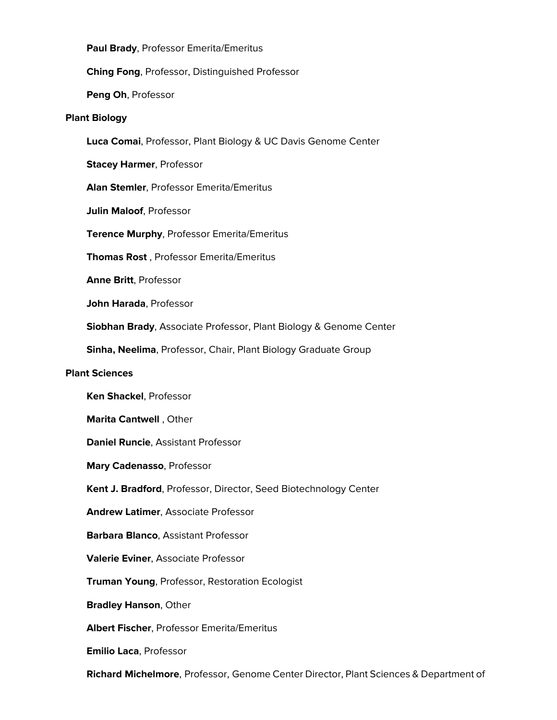**Paul Brady**, Professor Emerita/Emeritus

**Ching Fong**, Professor, Distinguished Professor

**Peng Oh**, Professor

#### **Plant Biology**

**Luca Comai**, Professor, Plant Biology & UC Davis Genome Center

**Stacey Harmer**, Professor

**Alan Stemler**, Professor Emerita/Emeritus

**Julin Maloof**, Professor

**Terence Murphy**, Professor Emerita/Emeritus

**Thomas Rost** , Professor Emerita/Emeritus

**Anne Britt**, Professor

**John Harada**, Professor

**Siobhan Brady**, Associate Professor, Plant Biology & Genome Center

**Sinha, Neelima**, Professor, Chair, Plant Biology Graduate Group

#### **Plant Sciences**

**Ken Shackel**, Professor

**Marita Cantwell** , Other

**Daniel Runcie**, Assistant Professor

**Mary Cadenasso**, Professor

**Kent J. Bradford**, Professor, Director, Seed Biotechnology Center

**Andrew Latimer**, Associate Professor

**Barbara Blanco**, Assistant Professor

**Valerie Eviner**, Associate Professor

**Truman Young**, Professor, Restoration Ecologist

**Bradley Hanson**, Other

**Albert Fischer**, Professor Emerita/Emeritus

**Emilio Laca**, Professor

**Richard Michelmore**, Professor, Genome Center Director, Plant Sciences & Department of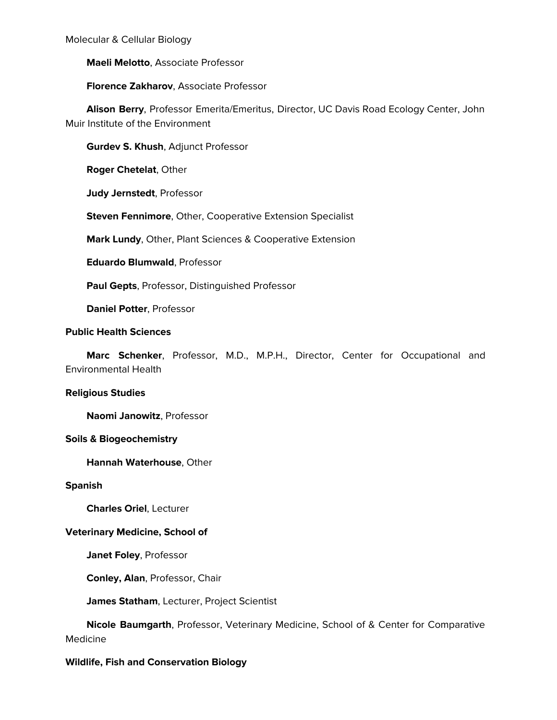Molecular & Cellular Biology

**Maeli Melotto**, Associate Professor

**Florence Zakharov**, Associate Professor

 **Alison Berry**, Professor Emerita/Emeritus, Director, UC Davis Road Ecology Center, John Muir Institute of the Environment

**Gurdev S. Khush**, Adjunct Professor

**Roger Chetelat**, Other

**Judy Jernstedt**, Professor

**Steven Fennimore**, Other, Cooperative Extension Specialist

**Mark Lundy**, Other, Plant Sciences & Cooperative Extension

**Eduardo Blumwald**, Professor

**Paul Gepts**, Professor, Distinguished Professor

**Daniel Potter**, Professor

## **Public Health Sciences**

 **Marc Schenker**, Professor, M.D., M.P.H., Director, Center for Occupational and Environmental Health

#### **Religious Studies**

**Naomi Janowitz**, Professor

#### **Soils & Biogeochemistry**

**Hannah Waterhouse**, Other

#### **Spanish**

**Charles Oriel**, Lecturer

## **Veterinary Medicine, School of**

**Janet Foley**, Professor

**Conley, Alan**, Professor, Chair

**James Statham**, Lecturer, Project Scientist

 **Nicole Baumgarth**, Professor, Veterinary Medicine, School of & Center for Comparative Medicine

## **Wildlife, Fish and Conservation Biology**